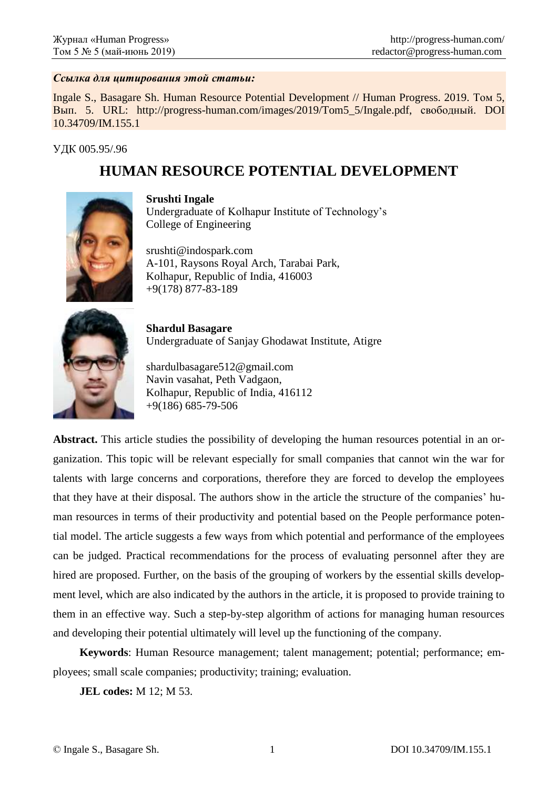### *Ссылка для цитирования этой статьи:*

Ingale S., Basagare Sh. Human Resource Potential Development // Human Progress. 2019. Том 5, Вып. 5. URL: http://progress-human.com/images/2019/Tom5\_5/Ingale.pdf, свободный. DOI 10.34709/IM.155.1

УДК 005.95/.96

# **HUMAN RESOURCE POTENTIAL DEVELOPMENT**



**Srushti Ingale** Undergraduate of Kolhapur Institute of Technology's College of Engineering

srushti@indospark.com A-101, Raysons Royal Arch, Tarabai Park, Kolhapur, Republic of India, 416003 +9(178) 877-83-189



**Shardul Basagare** Undergraduate of Sanjay Ghodawat Institute, Atigre

shardulbasagare512@gmail.com Navin vasahat, Peth Vadgaon, Kolhapur, Republic of India, 416112 +9(186) 685-79-506

**Abstract.** This article studies the possibility of developing the human resources potential in an organization. This topic will be relevant especially for small companies that cannot win the war for talents with large concerns and corporations, therefore they are forced to develop the employees that they have at their disposal. The authors show in the article the structure of the companies' human resources in terms of their productivity and potential based on the People performance potential model. The article suggests a few ways from which potential and performance of the employees can be judged. Practical recommendations for the process of evaluating personnel after they are hired are proposed. Further, on the basis of the grouping of workers by the essential skills development level, which are also indicated by the authors in the article, it is proposed to provide training to them in an effective way. Such a step-by-step algorithm of actions for managing human resources and developing their potential ultimately will level up the functioning of the company.

**Keywords**: Human Resource management; talent management; potential; performance; employees; small scale companies; productivity; training; evaluation.

**JEL codes:** M 12; M 53.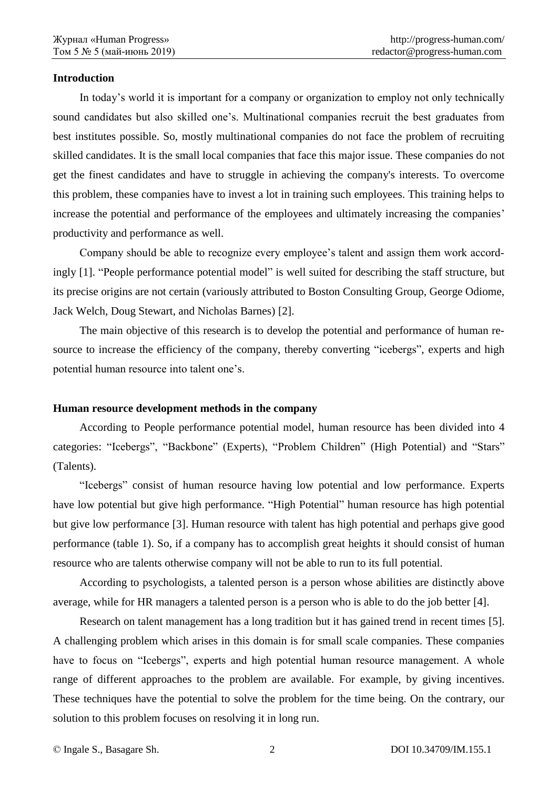## **Introduction**

In today's world it is important for a company or organization to employ not only technically sound candidates but also skilled one's. Multinational companies recruit the best graduates from best institutes possible. So, mostly multinational companies do not face the problem of recruiting skilled candidates. It is the small local companies that face this major issue. These companies do not get the finest candidates and have to struggle in achieving the company's interests. To overcome this problem, these companies have to invest a lot in training such employees. This training helps to increase the potential and performance of the employees and ultimately increasing the companies' productivity and performance as well.

Company should be able to recognize every employee's talent and assign them work accordingly [1]. "People performance potential model" is well suited for describing the staff structure, but its precise origins are not certain (variously attributed to Boston Consulting Group, George Odiome, Jack Welch, Doug Stewart, and Nicholas Barnes) [2].

The main objective of this research is to develop the potential and performance of human resource to increase the efficiency of the company, thereby converting "icebergs", experts and high potential human resource into talent one's.

# **Human resource development methods in the company**

According to People performance potential model, human resource has been divided into 4 categories: "Icebergs", "Backbone" (Experts), "Problem Children" (High Potential) and "Stars" (Talents).

"Icebergs" consist of human resource having low potential and low performance. Experts have low potential but give high performance. "High Potential" human resource has high potential but give low performance [3]. Human resource with talent has high potential and perhaps give good performance (table 1). So, if a company has to accomplish great heights it should consist of human resource who are talents otherwise company will not be able to run to its full potential.

According to psychologists, a talented person is a person whose abilities are distinctly above average, while for HR managers a talented person is a person who is able to do the job better [4].

Research on talent management has a long tradition but it has gained trend in recent times [5]. A challenging problem which arises in this domain is for small scale companies. These companies have to focus on "Icebergs", experts and high potential human resource management. A whole range of different approaches to the problem are available. For example, by giving incentives. These techniques have the potential to solve the problem for the time being. On the contrary, our solution to this problem focuses on resolving it in long run.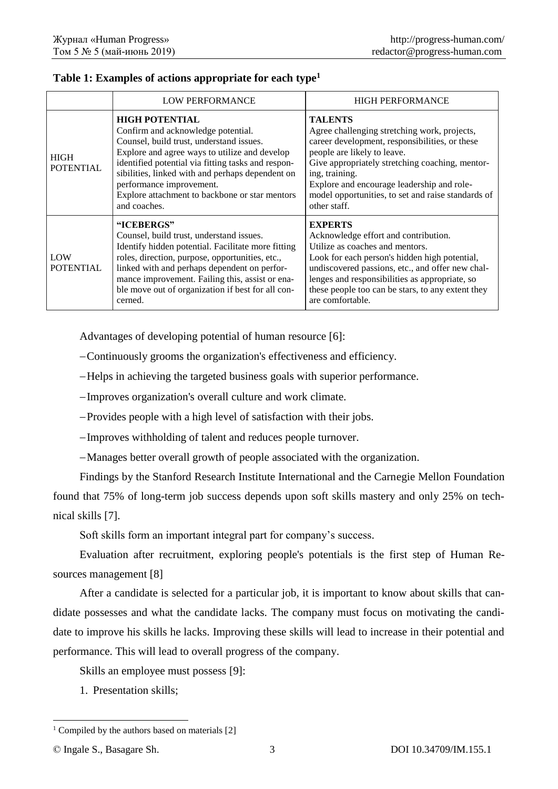|                                 | <b>LOW PERFORMANCE</b>                                                                                                                                                                                                                                                                                                                                           | <b>HIGH PERFORMANCE</b>                                                                                                                                                                                                                                                                                                                  |
|---------------------------------|------------------------------------------------------------------------------------------------------------------------------------------------------------------------------------------------------------------------------------------------------------------------------------------------------------------------------------------------------------------|------------------------------------------------------------------------------------------------------------------------------------------------------------------------------------------------------------------------------------------------------------------------------------------------------------------------------------------|
| <b>HIGH</b><br><b>POTENTIAL</b> | <b>HIGH POTENTIAL</b><br>Confirm and acknowledge potential.<br>Counsel, build trust, understand issues.<br>Explore and agree ways to utilize and develop<br>identified potential via fitting tasks and respon-<br>sibilities, linked with and perhaps dependent on<br>performance improvement.<br>Explore attachment to backbone or star mentors<br>and coaches. | <b>TALENTS</b><br>Agree challenging stretching work, projects,<br>career development, responsibilities, or these<br>people are likely to leave.<br>Give appropriately stretching coaching, mentor-<br>ing, training.<br>Explore and encourage leadership and role-<br>model opportunities, to set and raise standards of<br>other staff. |
| LOW<br><b>POTENTIAL</b>         | "ICEBERGS"<br>Counsel, build trust, understand issues.<br>Identify hidden potential. Facilitate more fitting<br>roles, direction, purpose, opportunities, etc.,<br>linked with and perhaps dependent on perfor-<br>mance improvement. Failing this, assist or ena-<br>ble move out of organization if best for all con-<br>cerned.                               | <b>EXPERTS</b><br>Acknowledge effort and contribution.<br>Utilize as coaches and mentors.<br>Look for each person's hidden high potential,<br>undiscovered passions, etc., and offer new chal-<br>lenges and responsibilities as appropriate, so<br>these people too can be stars, to any extent they<br>are comfortable.                |

## **Table 1: Examples of actions appropriate for each type<sup>1</sup>**

Advantages of developing potential of human resource [6]:

Continuously grooms the organization's effectiveness and efficiency.

Helps in achieving the targeted business goals with superior performance.

Improves organization's overall culture and work climate.

Provides people with a high level of satisfaction with their jobs.

-Improves withholding of talent and reduces people turnover.

Manages better overall growth of people associated with the organization.

Findings by the Stanford Research Institute International and the Carnegie Mellon Foundation found that 75% of long-term job success depends upon soft skills mastery and only 25% on technical skills [7].

Soft skills form an important integral part for company's success.

Evaluation after recruitment, exploring people's potentials is the first step of Human Resources management [8]

After a candidate is selected for a particular job, it is important to know about skills that candidate possesses and what the candidate lacks. The company must focus on motivating the candidate to improve his skills he lacks. Improving these skills will lead to increase in their potential and performance. This will lead to overall progress of the company.

Skills an employee must possess [9]:

1. Presentation skills;

© Ingale S., Basagare Sh. 3 DOI 10.34709/IM.155.1

-

 $1$  Compiled by the authors based on materials [2]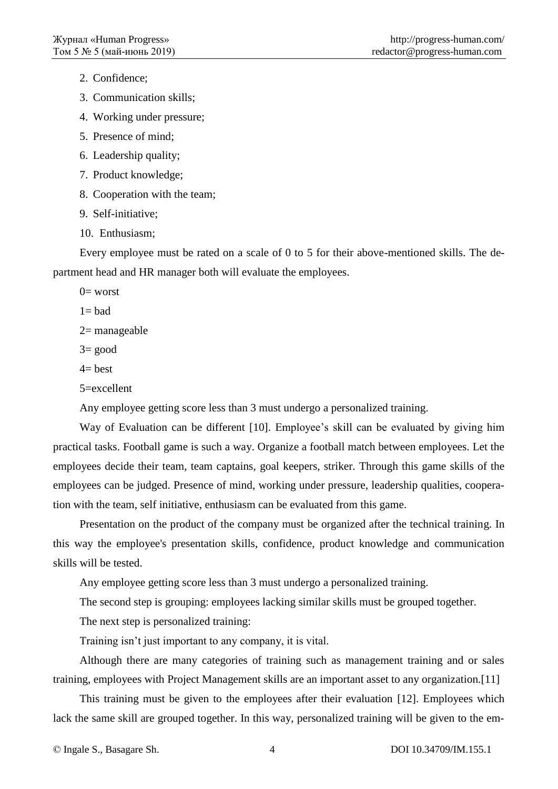2. Confidence;

3. Communication skills;

4. Working under pressure;

5. Presence of mind;

6. Leadership quality;

7. Product knowledge;

8. Cooperation with the team;

9. Self-initiative;

10. Enthusiasm;

Every employee must be rated on a scale of 0 to 5 for their above-mentioned skills. The department head and HR manager both will evaluate the employees.

 $0=$  worst

 $1 =$  bad

2= manageable

 $3=$  good

 $4=$  best

5=excellent

Any employee getting score less than 3 must undergo a personalized training.

Way of Evaluation can be different [10]. Employee's skill can be evaluated by giving him practical tasks. Football game is such a way. Organize a football match between employees. Let the employees decide their team, team captains, goal keepers, striker. Through this game skills of the employees can be judged. Presence of mind, working under pressure, leadership qualities, cooperation with the team, self initiative, enthusiasm can be evaluated from this game.

Presentation on the product of the company must be organized after the technical training. In this way the employee's presentation skills, confidence, product knowledge and communication skills will be tested.

Any employee getting score less than 3 must undergo a personalized training.

The second step is grouping: employees lacking similar skills must be grouped together.

The next step is personalized training:

Training isn't just important to any company, it is vital.

Although there are many categories of training such as management training and or sales training, employees with Project Management skills are an important asset to any organization.[11]

This training must be given to the employees after their evaluation [12]. Employees which lack the same skill are grouped together. In this way, personalized training will be given to the em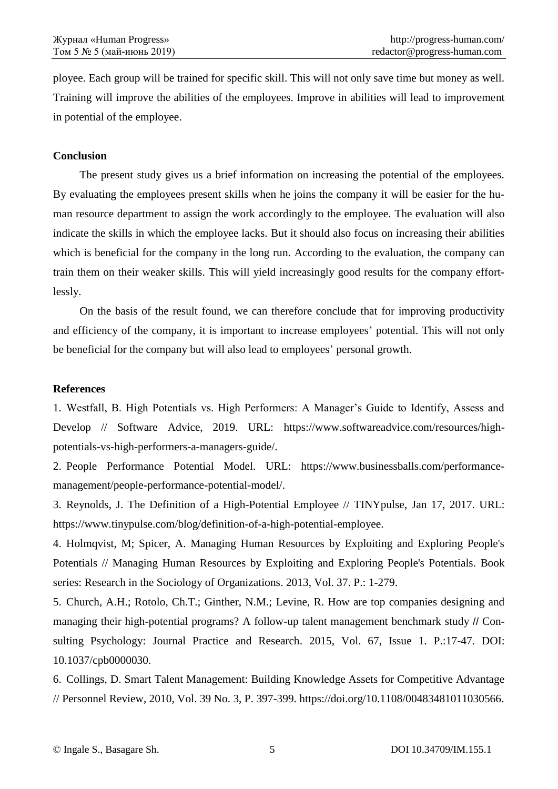ployee. Each group will be trained for specific skill. This will not only save time but money as well. Training will improve the abilities of the employees. Improve in abilities will lead to improvement in potential of the employee.

### **Conclusion**

The present study gives us a brief information on increasing the potential of the employees. By evaluating the employees present skills when he joins the company it will be easier for the human resource department to assign the work accordingly to the employee. The evaluation will also indicate the skills in which the employee lacks. But it should also focus on increasing their abilities which is beneficial for the company in the long run. According to the evaluation, the company can train them on their weaker skills. This will yield increasingly good results for the company effortlessly.

On the basis of the result found, we can therefore conclude that for improving productivity and efficiency of the company, it is important to increase employees' potential. This will not only be beneficial for the company but will also lead to employees' personal growth.

#### **References**

1. Westfall, B. High Potentials vs. High Performers: A Manager's Guide to Identify, Assess and Develop // Software Advice, 2019. URL: https://www.softwareadvice.com/resources/highpotentials-vs-high-performers-a-managers-guide/.

2. People Performance Potential Model. URL: https://www.businessballs.com/performancemanagement/people-performance-potential-model/.

3. Reynolds, J. The Definition of a High-Potential Employee // TINYpulse, Jan 17, 2017. URL: https://www.tinypulse.com/blog/definition-of-a-high-potential-employee.

4. Holmqvist, M; Spicer, A. Managing Human Resources by Exploiting and Exploring People's Potentials // Managing Human Resources by Exploiting and Exploring People's Potentials. Book series: Research in the Sociology of Organizations. 2013, Vol. 37. P.: 1-279.

5. Church, A.H.; Rotolo, Ch.T.; Ginther, N.M.; Levine, R. How are top companies designing and managing their high-potential programs? A follow-up talent management benchmark study // Consulting Psychology: Journal Practice and Research. 2015, Vol. 67, Issue 1. P.:17-47. DOI: 10.1037/cpb0000030.

6. Collings, D. Smart Talent Management: Building Knowledge Assets for Competitive Advantage // Personnel Review, 2010, Vol. 39 No. 3, P. 397-399. https://doi.org/10.1108/00483481011030566.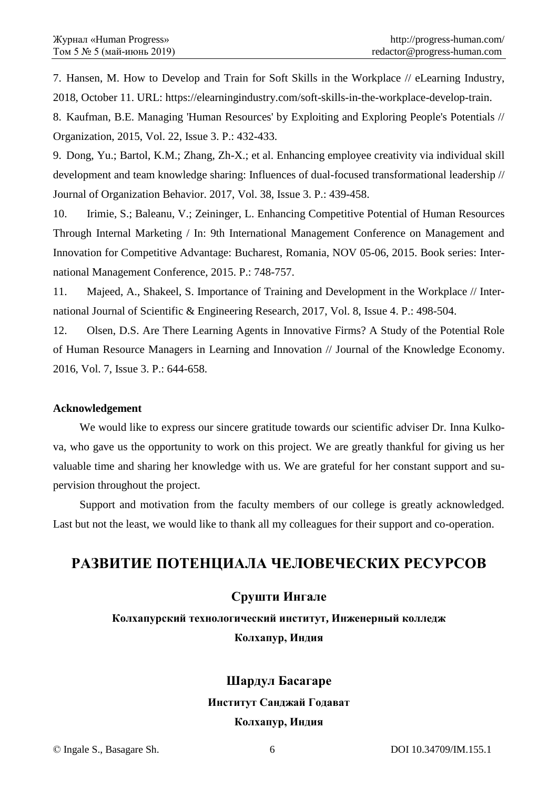7. Hansen, M. How to Develop and Train for Soft Skills in the Workplace // eLearning Industry, 2018, October 11. URL: https://elearningindustry.com/soft-skills-in-the-workplace-develop-train.

8. Kaufman, B.E. Managing 'Human Resources' by Exploiting and Exploring People's Potentials // Organization, 2015, Vol. 22, Issue 3. P.: 432-433.

9. Dong, Yu.; Bartol, K.M.; Zhang, Zh-X.; et al. Enhancing employee creativity via individual skill development and team knowledge sharing: Influences of dual-focused transformational leadership // Journal of Organization Behavior. 2017, Vol. 38, Issue 3. P.: 439-458.

10. Irimie, S.; Baleanu, V.; Zeininger, L. Enhancing Competitive Potential of Human Resources Through Internal Marketing / In: 9th International Management Conference on Management and Innovation for Competitive Advantage: Bucharest, Romania, NOV 05-06, 2015. Book series: International Management Conference, 2015. P.: 748-757.

11. Majeed, A., Shakeel, S. Importance of Training and Development in the Workplace // International Journal of Scientific & Engineering Research, 2017, Vol. 8, Issue 4. P.: 498-504.

12. Olsen, D.S. Are There Learning Agents in Innovative Firms? A Study of the Potential Role of Human Resource Managers in Learning and Innovation // Journal of the Knowledge Economy. 2016, Vol. 7, Issue 3. P.: 644-658.

# **Acknowledgement**

We would like to express our sincere gratitude towards our scientific adviser Dr. Inna Kulkova, who gave us the opportunity to work on this project. We are greatly thankful for giving us her valuable time and sharing her knowledge with us. We are grateful for her constant support and supervision throughout the project.

Support and motivation from the faculty members of our college is greatly acknowledged. Last but not the least, we would like to thank all my colleagues for their support and co-operation.

# **РАЗВИТИЕ ПОТЕНЦИАЛА ЧЕЛОВЕЧЕСКИХ РЕСУРСОВ**

# **Срушти Ингале**

**Колхапурский технологический институт, Инженерный колледж Колхапур, Индия**

# **Шардул Басагаре**

### **Институт Санджай Годават**

### **Колхапур, Индия**

© Ingale S., Basagare Sh. 6 DOI 10.34709/IM.155.1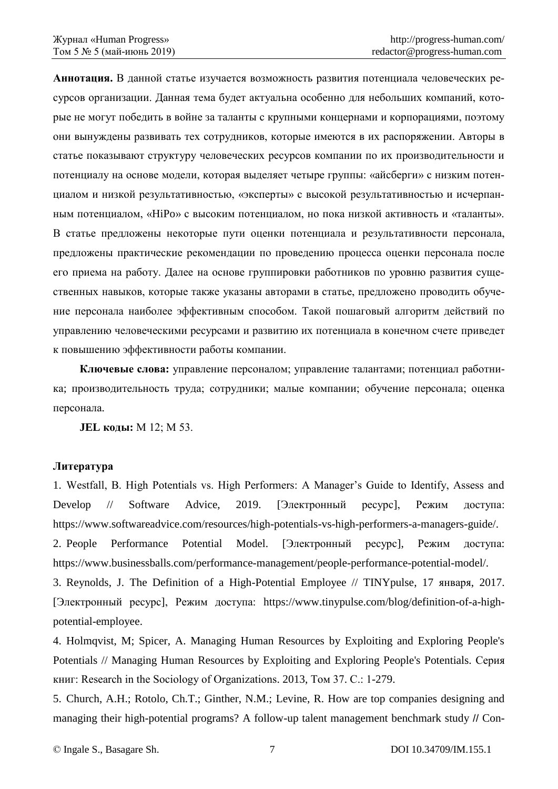**Аннотация.** В данной статье изучается возможность развития потенциала человеческих ресурсов организации. Данная тема будет актуальна особенно для небольших компаний, которые не могут победить в войне за таланты с крупными концернами и корпорациями, поэтому они вынуждены развивать тех сотрудников, которые имеются в их распоряжении. Авторы в статье показывают структуру человеческих ресурсов компании по их производительности и потенциалу на основе модели, которая выделяет четыре группы: «айсберги» с низким потенциалом и низкой результативностью, «эксперты» с высокой результативностью и исчерпанным потенциалом, «HiPo» с высоким потенциалом, но пока низкой активность и «таланты». В статье предложены некоторые пути оценки потенциала и результативности персонала, предложены практические рекомендации по проведению процесса оценки персонала после его приема на работу. Далее на основе группировки работников по уровню развития существенных навыков, которые также указаны авторами в статье, предложено проводить обучение персонала наиболее эффективным способом. Такой пошаговый алгоритм действий по управлению человеческими ресурсами и развитию их потенциала в конечном счете приведет к повышению эффективности работы компании.

**Ключевые слова:** управление персоналом; управление талантами; потенциал работника; производительность труда; сотрудники; малые компании; обучение персонала; оценка персонала.

**JEL коды:** M 12; М 53.

### **Литература**

1. Westfall, B. High Potentials vs. High Performers: A Manager's Guide to Identify, Assess and Develop // Software Advice, 2019. [Электронный ресурс], Режим доступа: https://www.softwareadvice.com/resources/high-potentials-vs-high-performers-a-managers-guide/. 2. People Performance Potential Model. [Электронный ресурс], Режим доступа: https://www.businessballs.com/performance-management/people-performance-potential-model/.

3. Reynolds, J. The Definition of a High-Potential Employee // TINYpulse, 17 января, 2017. [Электронный ресурс], Режим доступа: https://www.tinypulse.com/blog/definition-of-a-highpotential-employee.

4. Holmqvist, M; Spicer, A. Managing Human Resources by Exploiting and Exploring People's Potentials // Managing Human Resources by Exploiting and Exploring People's Potentials. Серия книг: Research in the Sociology of Organizations. 2013, Том 37. С.: 1-279.

5. Church, A.H.; Rotolo, Ch.T.; Ginther, N.M.; Levine, R. How are top companies designing and managing their high-potential programs? A follow-up talent management benchmark study // Con-

© Ingale S., Basagare Sh. 7 DOI 10.34709/IM.155.1